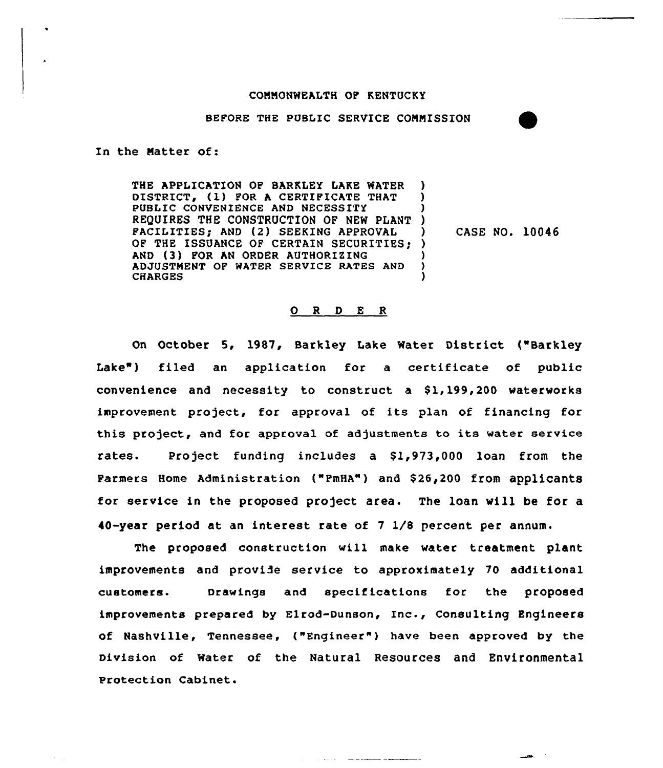#### COMMONWEALTH OP KENTUCKY

BEFORE THE PUBLIC SERVICE COMMISSION

In the Natter of:

THE APPLICATION OP BARKLEY LAKE WATER DISTRICT» (1) POR <sup>A</sup> CERTIPICATE THAT PUBLIC CONVENIENCE AND NECESSITY REQUIRES THE CONSTRUCTION OF NEW PLANT ) FACILITIES» AND (2) SEEKING APPROVAL OF THE ISSUANCE OF CERTAIN SECURITIES; ) AND (3) POR AN ORDER AUTHORIZING ADJUSTMENT QF WATER SERVICE RATES AND CHARGES ) ) ) ) )

) CASE NO. 10046

#### 0 <sup>R</sup> <sup>D</sup> E <sup>R</sup>

On October 5, 1987, Barkley Lake Water District ("Barkley Lake") filed an application for a certificate of public convenience and necessity to construct a  $$1,199,200$  waterworks improvement project, for approval of its plan of financing for this project, and for approval of adjustments to its water service rates. Project funding includes a \$1,973,000 loan from the Parmers Home Administration ("PmHA") and \$26,200 from applicants for service in the proposed project area. The loan will be for a 40-year period at an interest rate of <sup>7</sup> 1/8 percent per annum.

The proposed construction will make water treatment plant improvements and provide service to approximately 70 additional customers- Drawings and specifications for the proposed improvements prepared by Elrod-Dunson, Inc., Consulting Engineers of Nashville, Tennessee, ("Engineer" ) have been approved by the Division of water of the Natural Resources and Environmental Protection Cabinet.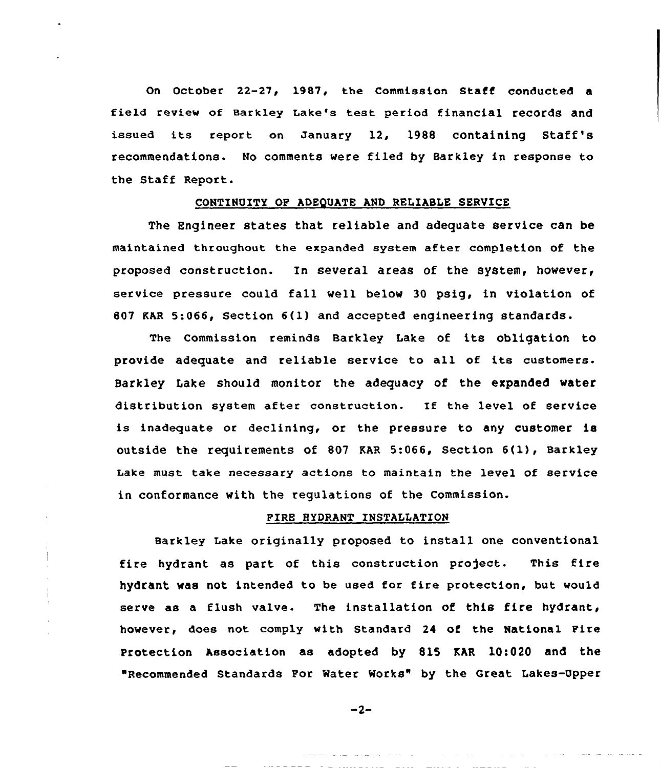On October 22-27, 1987, the Commission Staff conducted a field review of aarkley Lake's test period financial records and issued its report on January 12, 1988 containing Staff's recommendations. No comments vere filed by Barkley in response to the Staff Report.

#### CONTINUITY OF ADEQUATE AND RELIABLE SERVICE

The Engineer states that reliable and adequate service can be maintained throughout the expanded system after completion of the proposed construction. In several areas of the system, however, service pressure could fall well below <sup>30</sup> psig, in violation of 807 KAR 5:066, Section 6{1) and accepted engineering standards.

The Commission reminds Barkley Lake of its obligation to provide adequate and reliable service to all of its customers. Barkley Lake should monitor the adequacy of the expanded vater distribution system after construction. If the level of service is inadequate or declining, or the pressure to any customer is outside the requirements of <sup>807</sup> KAR 5:066, Section 6{1), Barkley Lake must take necessary actions to maintain the level of service in conformance with the regulations of the Commission.

#### PIRE HYDRANT INSTALLATION

 $\mathbf{I}$ 

Barkley Lake originally proposed to install one conventional fire hydrant as part of this construction project. This fire hydrant vas not intended to be used for fire protection, but would serve as a flush valve. The installation of this fire hydrant, however, does not comply with Standard 24 of the National Pire Protection Association as adopted by 815 KAR 10:020 and the "Recommended Standards Por Mater Morks" by the Great Lakes-Upper

 $-2-$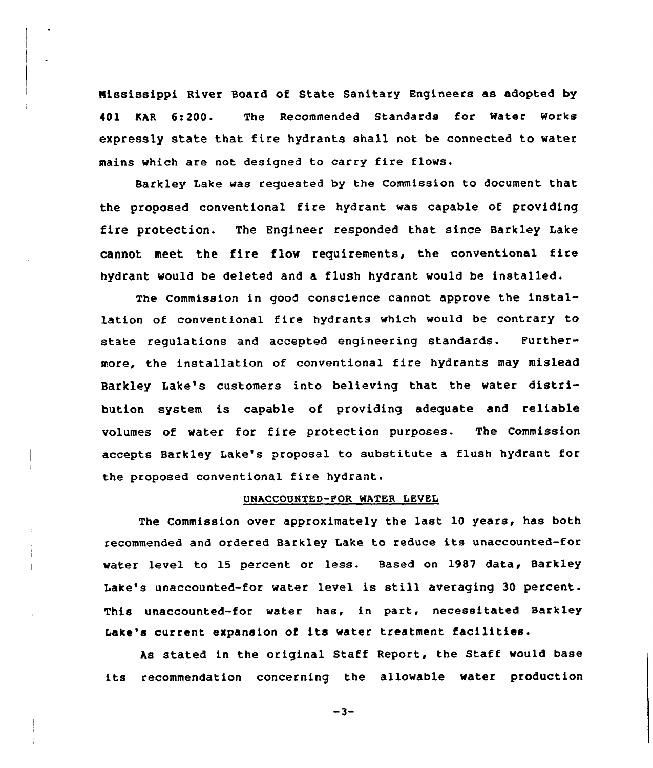Nississippi River Board of State Sanitary Engineers as adopted by 401 KAR 6:200. The Recommended Standards for Water Works expressly state that fire hydrants shall not be connected to water mains which are not designed to carry fire flows.

Barkley Lake was requested by the Commission to document that the proposed conventional fire hydrant was capable of providing fire protection. The Engineer responded that since Barkley Lake cannot meet the fire flow requirements, the conventional fire hydrant would be deleted and a flush hydrant would be installed.

The Commission in good conscience cannot approve the installation of conventional fire hydrants which would be contrary to state regulations and accepted engineering standards. Furthermore, the installation of conventional fire hydrants may mislead Barkley Lake's customers into believing that the water distribution system is capable of providing adequate and reliable volumes of water for fire protection purposes. The Commission accepts Barkley Lake's proposal to substitute a flush hydrant for the proposed conventional fire hydrant.

### UNACCOUNTED-FOR WATER LEVEL

The Commission over approximately the last 10 years, has both recommended and ordered Barkley Lake to reduce its unaccounted-for water level to 15 percent or less. Based on 1987 data, Barkley Lake's unaccounted-for water level is still averaging <sup>30</sup> percent. This unaccounted-for water has, in part, necessitated Barkley Lake's current expansion of its water treatment facilities.

As stated in the original Staff Report, the Staff would base its recommendation concerning the allowable water production

 $-3-$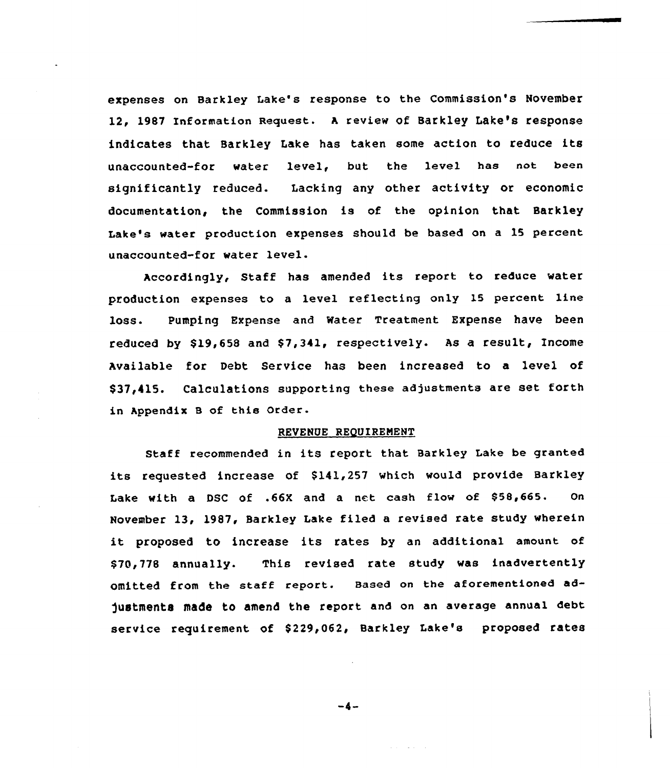expenses on Barkley lake's response to the Commission's November 12, 1987 Information Request. <sup>A</sup> review of Barkley Lake's response indicates that Barkley Lake has taken some action to reduce its unaccounted-for water level, but the level has not been significantly reduced. Lacking any other activity or economic documentation, the Commission is of the opinion that Barkley Lake's water production expenses should be based on a 15 percent unaccounted-for water level.

Accordingly, Staff has amended its report to reduce water production expenses to a level reflecting only 15 percent line loss. Pumping Expense and Mater Treatment Expense have been reduced by \$19.658 and \$7.341, respectively. As a result, Income Available for Debt Service has been increased to a level of \$37,415. Calculations supporting these adjustments are set forth in Appendix <sup>B</sup> of this Order.

#### REVENUE REQUIRENENT

Staff recommended in its report that Barkley Lake be granted its requested increase of \$141,257 which would provide Barkley Lake with a DSC of .66X and a net cash flow of 858,665. On November 13, 1987, Barkley Lake filed a revised rate study wherein it proposed to increase its rates by an additional amount of \$70,778 annually. This revised rate study was inadvertently omitted from the staff report. Based on the aforementioned ad-)uetments made to amend the report and on an average annual debt service requirement of \$229,062, Barkley Lake's proposed rates

 $-4-$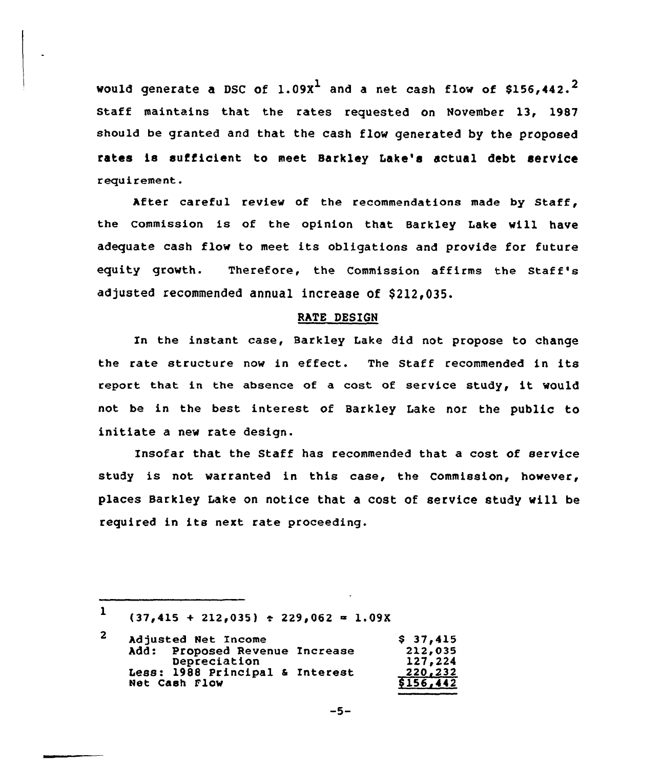would generate a DSC of  $1.09x^1$  and a net cash flow of \$156,442.<sup>2</sup> Staff maintains that the rates requested on November 13, 1987 should be granted and that the cash flow generated by the proposed rates is sufficient to meet Sarkley Lake's actual debt service requirement.

After careful review of the recommendations made by Staff, the commission is of the opinion that Barkley Lake vill have adequate cash flow to meet its obligations and provide for future equity growth. Therefore, the Commission affirms the Staff's adjusted recommended annual increase of \$212,035.

#### RATE DESIGN

Xn the instant case, Barkley Lake did not propose to change the rate structure now in effect. The Staff recommended in its report that in the absence of <sup>a</sup> cost of service study, it would not be in the best interest of Barkley Lake nor the public to initiate a new rate design.

Insofar that the Staff has recommended that a cost of service study is not warranted in this case, the Commission, however, places Barkley Lake on notice that a cost of service study will be required in its next rate proceeding.

$$
-5-
$$

<sup>1</sup>  $(37,415 + 212,035)$   $\div$  229,062 = 1.09X

<sup>2</sup> Adjusted Net Income hdd: Proposed Revenue Increase Oepreciation Less: 1988 principal <sup>a</sup> Interest Net Cash Flow  $$37,415$ 212~035 127 i 224 220,232 8156,442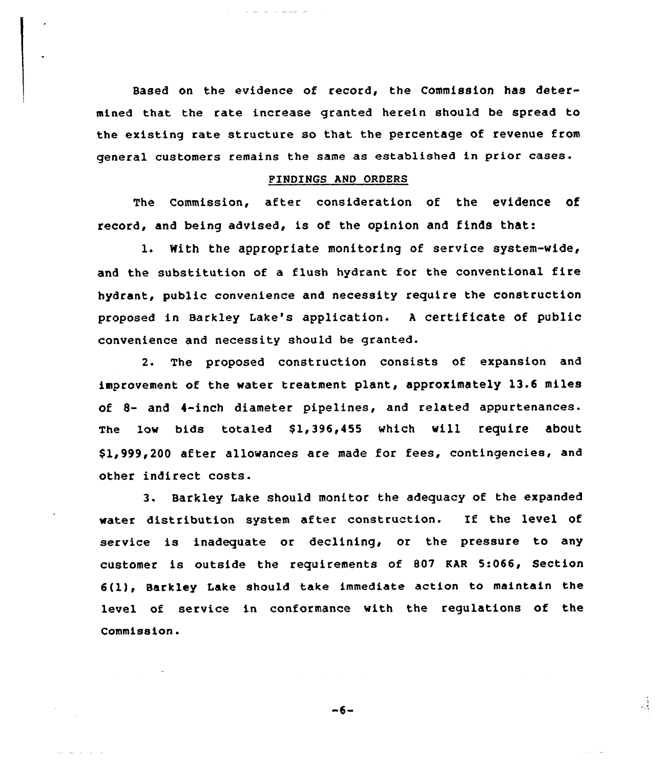Based on the evidence of record, the Commission has determined that the rate increase granted herein should be spread to the existing rate structure so that the percentage of revenue from general customers remains the same as established in prior cases.

#### FINDINGS AND ORDERS

The commission, after consideration of the evidence of record, and being advised, is of the opinion and finds that:

1. With the appropriate monitoring of service system-wide, and the substitution of <sup>a</sup> flush hydrant for the conventional fire hydrant, public convenience and necessity require the construction proposed in Barkley Lake's application. <sup>A</sup> certificate of public convenience and necessity should be granted.

2. The proposed construction consists of expansion and improvement of the water treatment plant, approximately 13.6 miles Of 8- and 4-inch diameter pipelines, and related appurtenances. The low bids totaled \$1,396,455 which will require about \$ 1,999,200 after allowances are made for fees, contingencies, and other indirect costs.

3. Barkley Lake should monitor the adequacy of the expanded water distribution system after construction. If the level of service is inadequate or declining, or the pressure to any customer is outside the requirements of 807 KAR 5:066, Section 6(l), Sarkley Lake should take immediate action to maintain the level of service in conformance with the regulations of the Commission .

 $-6-$ 

والأوالي والقراطية

 $\frac{1}{2}$ 

 $\mathcal{L}^{\pm}$  and  $\mathcal{L}^{\pm}$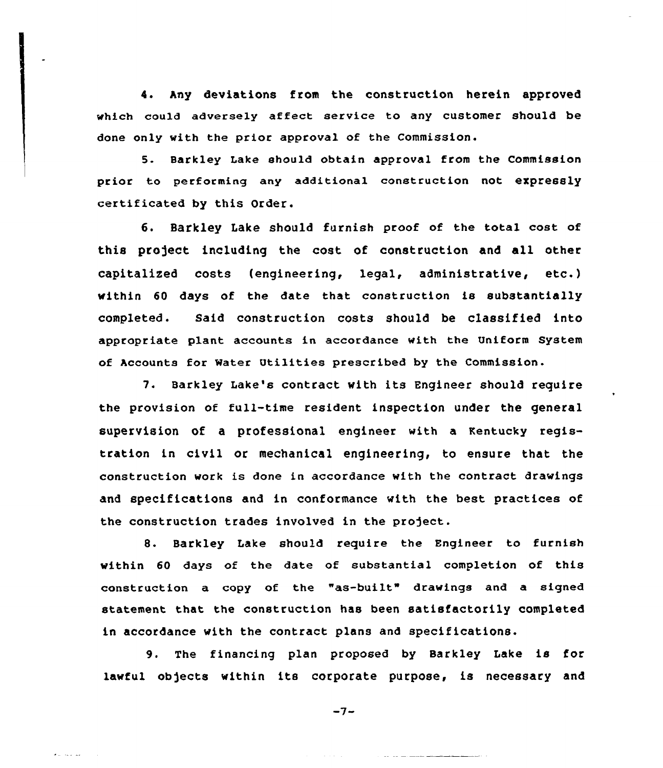4. Any deviations from the construction herein approved which could adverse1y affect service to any customer should be done only with the prior approval of the Commission.

5. Barkley Lake should obtain approval from the Commission prior to performing any additional construction not expressly certificated by this Order.

6. Barkley Lake should furnish proof of the total cost of this project including the cost of construction and all other capitaliced costs (engineering, legal, administrative, etc.) within 60 days of the date that construction is substantially completed. Said construction costs should be classified into appropriate plant accounts in accordance with the Uniform System of Accounts for water Utilities prescribed by the Commission.

7. Barkley Lake's contract with its Engineer should require the provision of full-time resident inspection under the general supervision of a professional engineer with a Kentucky registration in civil or mechanical engineering, to ensure that the construction work is done in accordance with the contract drawings and specifications and in conformance with the best practices of the construction trades involved in the project.

8. Barkley Lake should require the Engineer to furnish within 60 days of the date of substantial completion of this construction a copy of the "as-built" drawings and a signed statement that the construction has been satisfactorily completed in accordance with the contract plans and specifications.

9. The financing plan proposed by Barkley Lake is for lawful objects within its corporate purpose, is necessary and

 $-7-$ 

العطا والمحاملة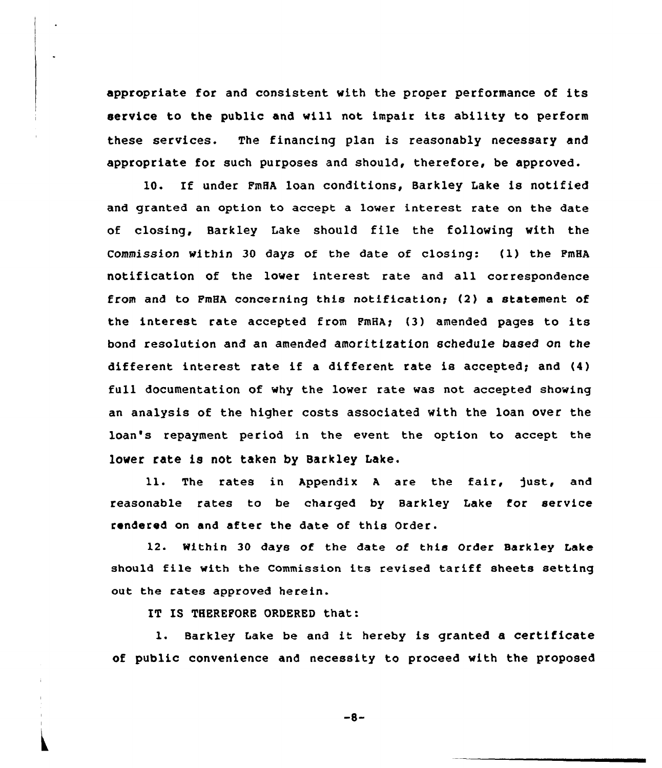appropriate for and consistent with the proper performance of its service to the public and will not impair its ability to perform these services. The financing plan is reasonably necessary and appropriate for such purposes and should, therefore, be approved.

10. If under FmHA loan conditions, Barkley Lake is notified and granted an option to accept a lower interest rate on the date of closing, Barkley Lake should file the following with the Commission within 30 days of the date of closing:  $(1)$  the PmHA notification of the lower interest rate and all correspondence from and to PmHA concerning this notifications (2) a statement of the interest rate accepted from FmHA; (3) amended pages to its bond resolution and an amended amoritization schedule based on the different interest rate if a different rate is accepted; and (4) full documentation of why the lower rate was not accepted showing an analysis of the higher costs associated with the loan over the loan's repayment period in the event the option to accept the lower rate is not taken by Barkley Lake.

11. The rates in Appendix A are the fair, just, and reasonable rates to be charged by Barkley Lake for service rendered on and after the date of this Order.

12. Within 30 days of the date of this Order Barkley Lake should file with the Commission its revised tariff sheets setting out the rates approved herein.

IT IS THEREFORE ORDERED that:

1. Barkley Lake be and it hereby is granted <sup>a</sup> certificate of public convenience and necessity to proceed with the proposed

 $-8-$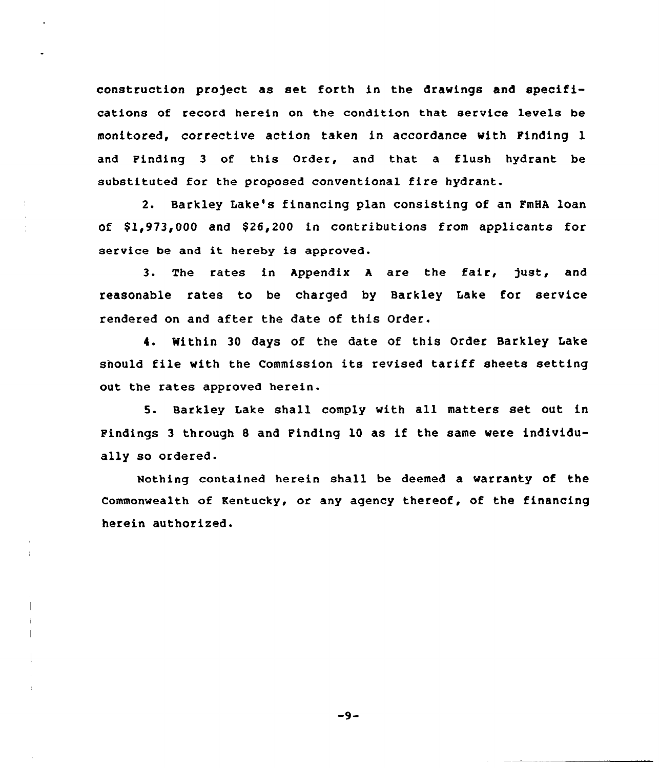construction pro)ect as set forth in the drawings and specifications of record herein on the condition that service levels be monitored, corrective action taken in accordance with Pinding 1 and Finding 3 of this Order, and that a flush hydrant be substituted for the proposed conventional fire hydrant.

2. Barkley Lake's financing plan consisting of an PmHA loan of \$1,973,000 and \$26,200 in contributions from applicants for service be and it hereby is approved.

3. The rates in Appendix A are the fair, just, and reasonable rates to be charged by Barkley Lake for service rendered on and after the date of this Order.

4. Within 30 days of the date of this Order Barkley Lake snould file with the Commission its revised tariff sheets setting out the rates approved herein.

5. Barkley Lake shall comply with all matters set out in Pindings <sup>3</sup> through <sup>8</sup> and Finding 10 as if the same were individually so ordered.

Nothing contained herein shall be deemed a warranty of the Commonwealth of Kentucky, or any agency thereof, of the financing herein authorized.

 $-9-$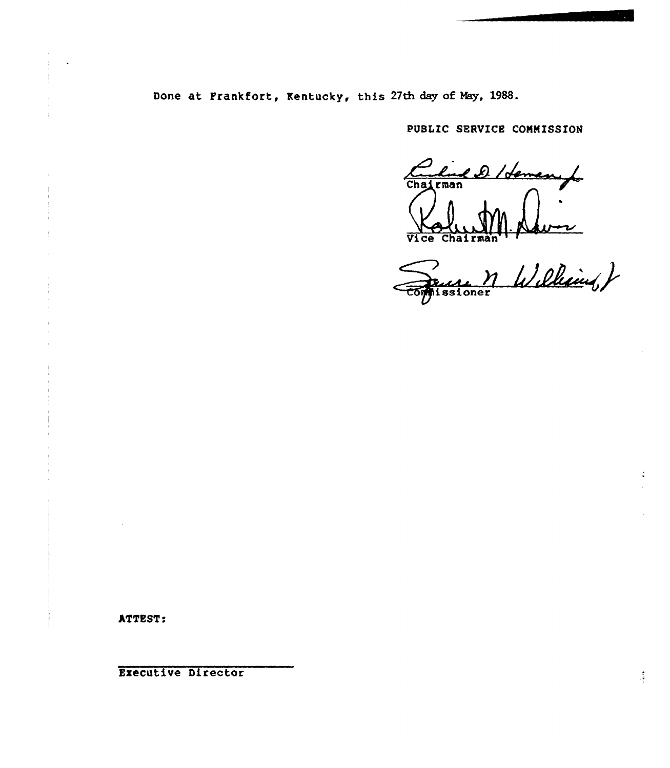Done at Frankfort, Kentucky, this 27th day of May, 1988.

PUBLIC SERVICR COMMISSION

el demand Cha rman  $\Delta$ Vice Chairman

 $m$  Williams )

ATTEST:

Executive Director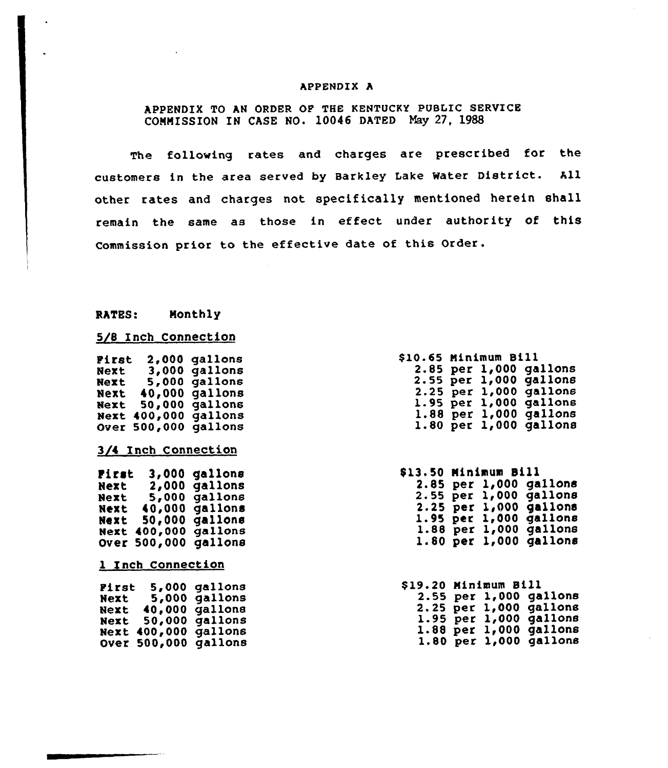#### APPENDIX A

APPENDIX TO AN ORDER OF THE KENTUCKY PUBLIC SERVICE COMMISSION IN CASE NO. 10046 DATED Hay 27, 1988

The following rates and charges are prescribed for the customers in the area served by Barkley Lake Water District. All other rates and charges not specifically mentioned herein shall remain the same as those in effect under authority of this Commission prior to the effective date of this Order.

#### RATES: Monthly

## 5/8 Inch Connection

| Pirst             | 2,000   | gallons             |
|-------------------|---------|---------------------|
| Next              | 3,000   | gallons             |
| Next              | 5,000   | gallons             |
| Next              | 40,000  | gallons             |
| Next              | 50,000  | gallons             |
| Next              | 400,000 | gallons             |
|                   |         |                     |
| <b>Over</b>       | 500,000 | gallons             |
|                   |         |                     |
|                   |         | 3/4 Inch Connection |
|                   |         |                     |
| First             | 3,000   | gallons             |
| Next              | 2,000   | gallons             |
| Next              | 5,000   | gallons             |
| Next              | 40,000  | gallons             |
| Next              | 50,000  | qallons             |
| Next              | 400,000 | gallons             |
| Over              | 500,000 | gallons             |
|                   |         |                     |
| 1 Inch Connection |         |                     |
|                   |         |                     |
|                   |         |                     |
| Pirst             | 5,000   | gallons             |
| Next              | 5,000   | gallons             |

 $Next 5,000 gallon$ Next 40,000 gallons  $Next 50,000 gallon$  $Next 400,000 gal$ lon Over 500,000 gallon

| \$10.65 Minimum Bill |  |                        |
|----------------------|--|------------------------|
|                      |  | 2.85 per 1,000 gallons |
|                      |  | 2.55 per 1,000 gallons |
|                      |  | 2.25 per 1,000 gallons |
|                      |  | 1.95 per 1,000 gallons |
|                      |  | 1.88 per 1,000 gallons |
|                      |  | 1.80 per 1,000 gallons |

| \$13.50 Minimum Bill |  |                          |
|----------------------|--|--------------------------|
|                      |  | 2.85 per 1,000 gallons   |
|                      |  | 2.55 per 1,000 gallons   |
|                      |  | $2.25$ per 1,000 gallons |
|                      |  | 1.95 per 1,000 gallons   |
|                      |  | 1.88 per 1,000 gallons   |
|                      |  | 1.80 per 1,000 gallons   |

| \$19.20 Minimum Bill |  |                        |
|----------------------|--|------------------------|
|                      |  | 2.55 per 1,000 gallons |
|                      |  | 2.25 per 1,000 gallons |
|                      |  | 1.95 per 1,000 gallons |
|                      |  | 1.88 per 1,000 gallons |
|                      |  | 1.80 per 1,000 gallons |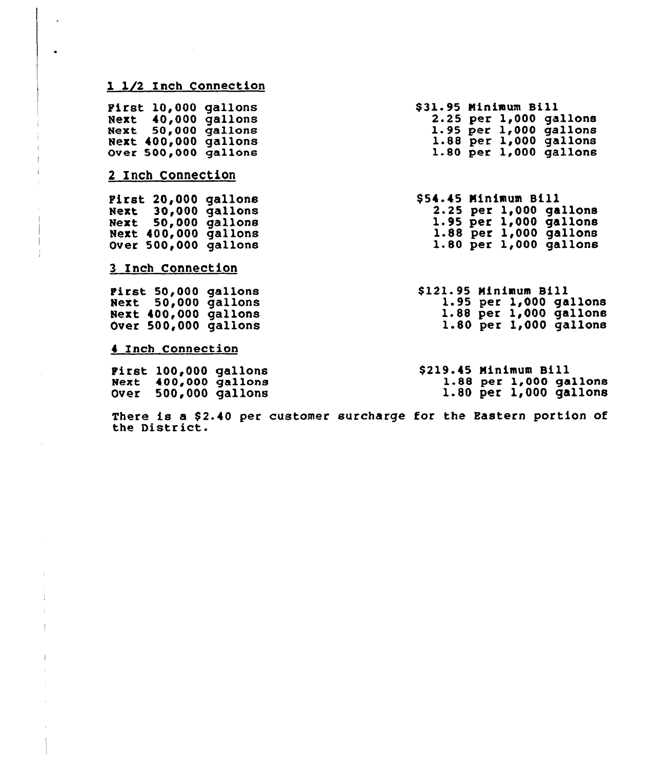# 1 1/2 Inch Connection

 $\ddot{\phantom{a}}$ 

 $\bullet$ 

 $\frac{1}{k}$  $\pm$  $\pm$ 

 $\overline{1}$ 

 $\alpha$ 

| <b>First 10,000 gallons</b><br>Next 40,000 gallons<br>Next 50,000 gallons<br>Next 400,000 gallons<br>Over 500,000 gallons<br>2 Inch Connection | \$31.95 Minimum Bill<br>$2.25$ per $1,000$ gallons<br>$1.95$ per $1,000$ gallons<br>$1.88$ per $1,000$ gallons<br>1.80 per 1,000 gallons |
|------------------------------------------------------------------------------------------------------------------------------------------------|------------------------------------------------------------------------------------------------------------------------------------------|
| First 20,000 gallons<br>Next 30,000 gallons<br>Next 50,000 gallons<br>Next 400,000 gallons<br>Over 500,000 gallons                             | \$54.45 Minimum Bill<br>2.25 per 1,000 gallons<br>1.95 per 1,000 gallons<br>$1.88$ per $1,000$ gallons<br>1.80 per 1,000 gallons         |
| 3 Inch Connection<br>First 50,000 gallons<br>Next 50,000 gallons<br>Next 400,000 gallons<br>Over 500,000 gallons                               | \$121.95 Minimum Bill<br>$1.95$ per $1,000$ gallons<br>$1.88$ per $1,000$ gallons<br>1.80 per 1,000 gallons                              |
| 4 Inch Connection<br>First 100,000 gallons<br>Next 400,000 gallons<br>Over 500,000 gallons                                                     | \$219.45 Minimum Bill<br>1.88 per 1,000 gallons<br>$1.80$ per $1,000$ gallons                                                            |

There is a \$2.40 per customer surcharge for the Eastern portion of the District.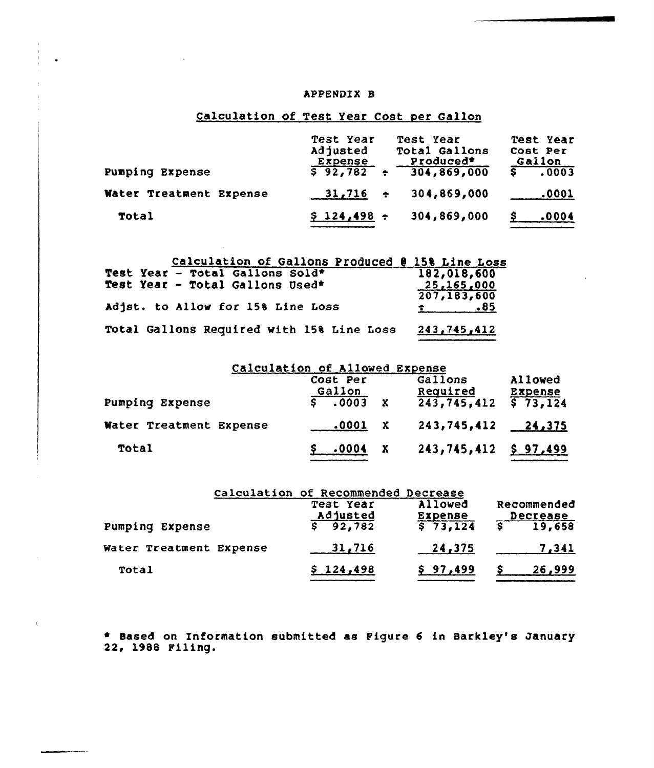## APPENDIX B

# Calculation of Test Year Cost per Gallon

| Pumping Expense         | Test Year<br>Adjusted<br>Expense<br>\$92,782<br>一 春日 | Test Year<br>Total Gallons<br>Produced*<br>304,869,000 | Test Year<br>Cost Per<br><u>Gailon</u><br>.0003 |
|-------------------------|------------------------------------------------------|--------------------------------------------------------|-------------------------------------------------|
| Water Treatment Expense | $31,716$ ÷                                           | 304,869,000                                            | .0001                                           |
| Total                   | $$124,498$ ÷                                         | 304,869,000                                            | .0004<br>s                                      |

| Calculation of Gallons Produced @ 15% Line Loss |                           |
|-------------------------------------------------|---------------------------|
| Test Year - Total Gallons Sold*                 | 182,018,600               |
| Test Year - Total Gallons Used*                 | 25,165,000<br>207,183,600 |
| Adjst. to Allow for 158 Line Loss               | $\sim$ .85                |
| Total Gallons Required with 15% Line Loss       | 243,745,412               |

|                         | Calculation of Allowed Expense                           |                                    |                                       |
|-------------------------|----------------------------------------------------------|------------------------------------|---------------------------------------|
| Pumping Expense         | Cost Per<br><u>Gallon</u><br>$5 \t 0003$<br>$\mathbf{x}$ | Gallons<br>Required<br>243,745,412 | Allowed<br><b>Expense</b><br>\$73,124 |
| Water Treatment Expense | $\boldsymbol{\cdot}$ 0001                                | 243,745,412                        | $-24,375$                             |
| Total                   | X<br>.0004                                               | $243, 745, 412$ \$ 97,499          |                                       |

|                         | Calculation of Recommended Decrease<br>Test Year | Allowed<br>Expense | Recommended<br>Decrease |
|-------------------------|--------------------------------------------------|--------------------|-------------------------|
| Pumping Expense         | $\frac{\text{Adjusted}}{\text{92,782}}$          | 573,124            | 19,658                  |
| Water Treatment Expense | 31,716                                           | 24,375             | 7,341                   |
| Total                   | \$124,498                                        | \$97,499           | 26,999                  |

Based on Information submitted as Figure 6 in Barkl<mark>ey's Januar</mark> 22, 1988 Filing.

 $\mathbf{f}$